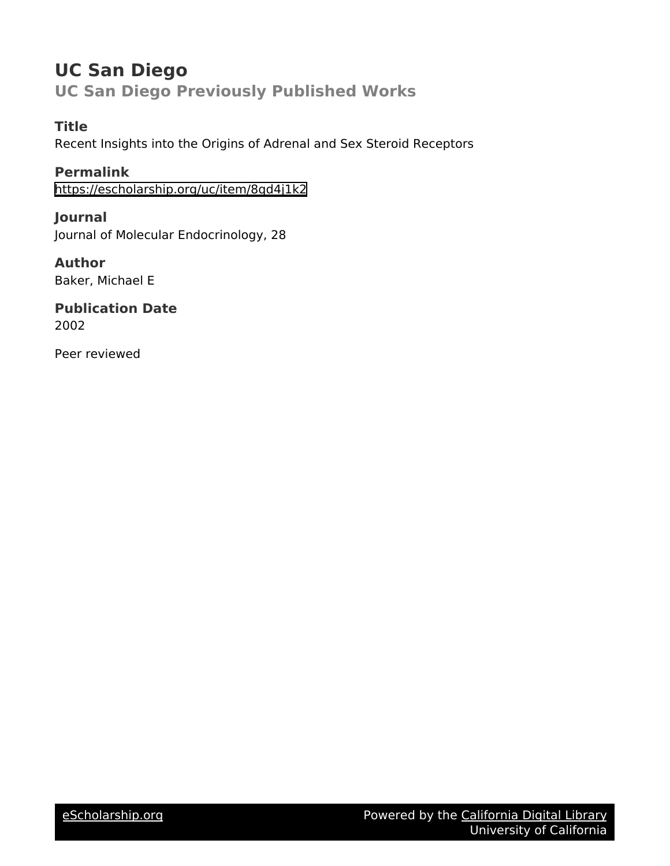# **UC San Diego UC San Diego Previously Published Works**

**Title**

Recent Insights into the Origins of Adrenal and Sex Steroid Receptors

**Permalink** <https://escholarship.org/uc/item/8qd4j1k2>

**Journal** Journal of Molecular Endocrinology, 28

**Author** Baker, Michael E

**Publication Date** 2002

Peer reviewed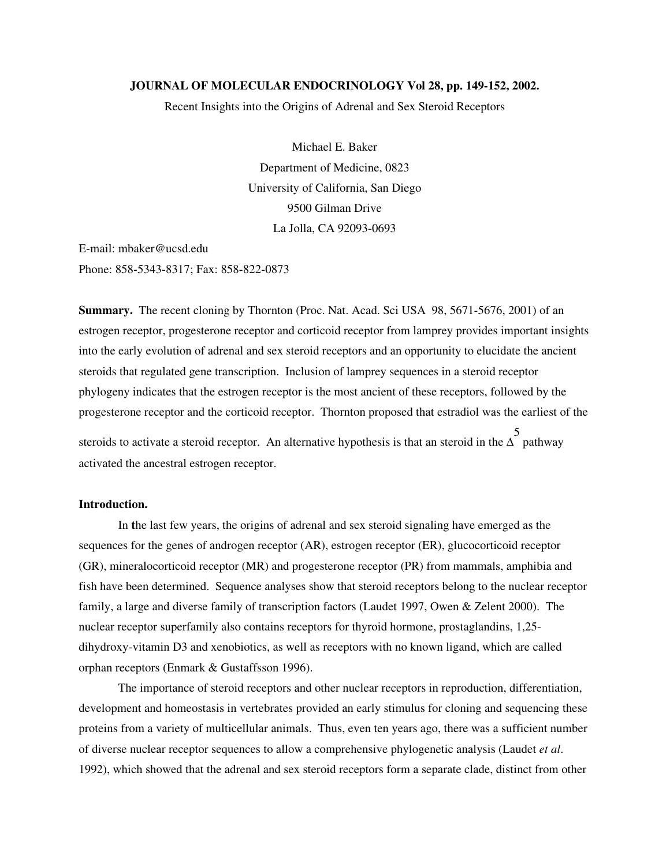### **JOURNAL OF MOLECULAR ENDOCRINOLOGY Vol 28, pp. 149-152, 2002.**

Recent Insights into the Origins of Adrenal and Sex Steroid Receptors

Michael E. Baker Department of Medicine, 0823 University of California, San Diego 9500 Gilman Drive La Jolla, CA 92093-0693

E-mail: mbaker@ucsd.edu Phone: 858-5343-8317; Fax: 858-822-0873

**Summary.** The recent cloning by Thornton (Proc. Nat. Acad. Sci USA 98, 5671-5676, 2001) of an estrogen receptor, progesterone receptor and corticoid receptor from lamprey provides important insights into the early evolution of adrenal and sex steroid receptors and an opportunity to elucidate the ancient steroids that regulated gene transcription. Inclusion of lamprey sequences in a steroid receptor phylogeny indicates that the estrogen receptor is the most ancient of these receptors, followed by the progesterone receptor and the corticoid receptor. Thornton proposed that estradiol was the earliest of the 5

steroids to activate a steroid receptor. An alternative hypothesis is that an steroid in the  $\Delta$ pathway activated the ancestral estrogen receptor.

## **Introduction.**

In **t**he last few years, the origins of adrenal and sex steroid signaling have emerged as the sequences for the genes of androgen receptor (AR), estrogen receptor (ER), glucocorticoid receptor (GR), mineralocorticoid receptor (MR) and progesterone receptor (PR) from mammals, amphibia and fish have been determined. Sequence analyses show that steroid receptors belong to the nuclear receptor family, a large and diverse family of transcription factors (Laudet 1997, Owen & Zelent 2000). The nuclear receptor superfamily also contains receptors for thyroid hormone, prostaglandins, 1,25 dihydroxy-vitamin D3 and xenobiotics, as well as receptors with no known ligand, which are called orphan receptors (Enmark & Gustaffsson 1996).

The importance of steroid receptors and other nuclear receptors in reproduction, differentiation, development and homeostasis in vertebrates provided an early stimulus for cloning and sequencing these proteins from a variety of multicellular animals. Thus, even ten years ago, there was a sufficient number of diverse nuclear receptor sequences to allow a comprehensive phylogenetic analysis (Laudet *et al*. 1992), which showed that the adrenal and sex steroid receptors form a separate clade, distinct from other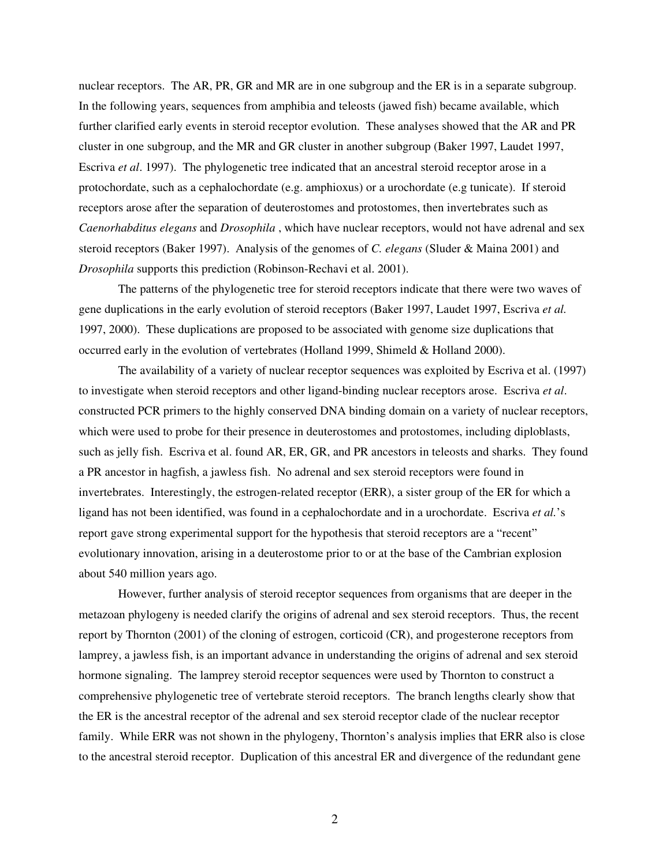nuclear receptors. The AR, PR, GR and MR are in one subgroup and the ER is in a separate subgroup. In the following years, sequences from amphibia and teleosts (jawed fish) became available, which further clarified early events in steroid receptor evolution. These analyses showed that the AR and PR cluster in one subgroup, and the MR and GR cluster in another subgroup (Baker 1997, Laudet 1997, Escriva *et al*. 1997). The phylogenetic tree indicated that an ancestral steroid receptor arose in a protochordate, such as a cephalochordate (e.g. amphioxus) or a urochordate (e.g tunicate). If steroid receptors arose after the separation of deuterostomes and protostomes, then invertebrates such as *Caenorhabditus elegans* and *Drosophila* , which have nuclear receptors, would not have adrenal and sex steroid receptors (Baker 1997). Analysis of the genomes of *C. elegans* (Sluder & Maina 2001) and *Drosophila* supports this prediction (Robinson-Rechavi et al. 2001).

The patterns of the phylogenetic tree for steroid receptors indicate that there were two waves of gene duplications in the early evolution of steroid receptors (Baker 1997, Laudet 1997, Escriva *et al.* 1997, 2000). These duplications are proposed to be associated with genome size duplications that occurred early in the evolution of vertebrates (Holland 1999, Shimeld & Holland 2000).

The availability of a variety of nuclear receptor sequences was exploited by Escriva et al. (1997) to investigate when steroid receptors and other ligand-binding nuclear receptors arose. Escriva *et al*. constructed PCR primers to the highly conserved DNA binding domain on a variety of nuclear receptors, which were used to probe for their presence in deuterostomes and protostomes, including diploblasts, such as jelly fish. Escriva et al. found AR, ER, GR, and PR ancestors in teleosts and sharks. They found a PR ancestor in hagfish, a jawless fish. No adrenal and sex steroid receptors were found in invertebrates. Interestingly, the estrogen-related receptor (ERR), a sister group of the ER for which a ligand has not been identified, was found in a cephalochordate and in a urochordate. Escriva *et al.*'s report gave strong experimental support for the hypothesis that steroid receptors are a "recent" evolutionary innovation, arising in a deuterostome prior to or at the base of the Cambrian explosion about 540 million years ago.

However, further analysis of steroid receptor sequences from organisms that are deeper in the metazoan phylogeny is needed clarify the origins of adrenal and sex steroid receptors. Thus, the recent report by Thornton (2001) of the cloning of estrogen, corticoid (CR), and progesterone receptors from lamprey, a jawless fish, is an important advance in understanding the origins of adrenal and sex steroid hormone signaling. The lamprey steroid receptor sequences were used by Thornton to construct a comprehensive phylogenetic tree of vertebrate steroid receptors. The branch lengths clearly show that the ER is the ancestral receptor of the adrenal and sex steroid receptor clade of the nuclear receptor family. While ERR was not shown in the phylogeny, Thornton's analysis implies that ERR also is close to the ancestral steroid receptor. Duplication of this ancestral ER and divergence of the redundant gene

2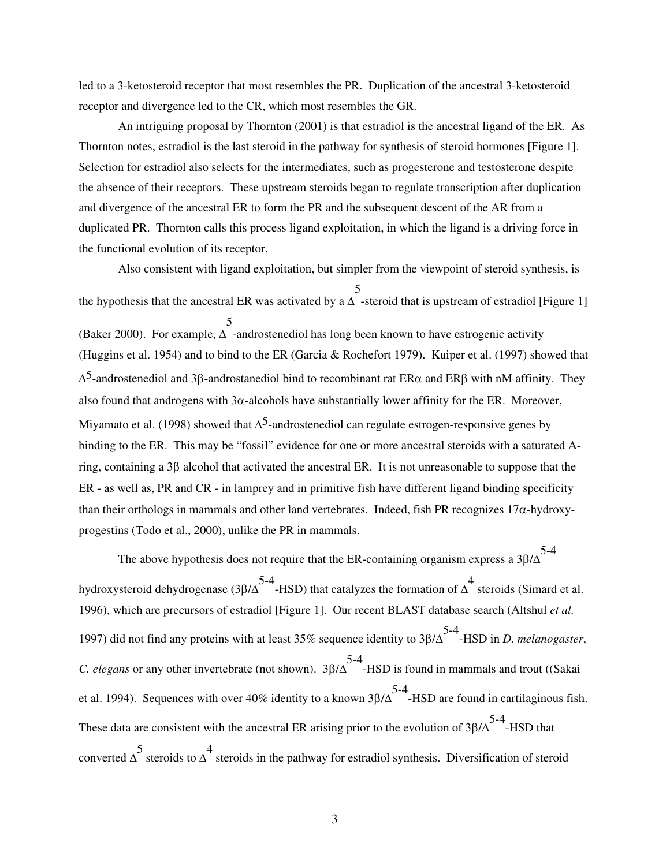led to a 3-ketosteroid receptor that most resembles the PR. Duplication of the ancestral 3-ketosteroid receptor and divergence led to the CR, which most resembles the GR.

An intriguing proposal by Thornton (2001) is that estradiol is the ancestral ligand of the ER. As Thornton notes, estradiol is the last steroid in the pathway for synthesis of steroid hormones [Figure 1]. Selection for estradiol also selects for the intermediates, such as progesterone and testosterone despite the absence of their receptors. These upstream steroids began to regulate transcription after duplication and divergence of the ancestral ER to form the PR and the subsequent descent of the AR from a duplicated PR. Thornton calls this process ligand exploitation, in which the ligand is a driving force in the functional evolution of its receptor.

Also consistent with ligand exploitation, but simpler from the viewpoint of steroid synthesis, is the hypothesis that the ancestral ER was activated by a  $\Delta$ 5 -steroid that is upstream of estradiol [Figure 1] (Baker 2000). For example,  $\Delta$  -androstenediol has long been known to have estrogenic activity 5 (Huggins et al. 1954) and to bind to the ER (Garcia & Rochefort 1979). Kuiper et al. (1997) showed that  $\Delta^5$ -androstenediol and 3 $\beta$ -androstanediol bind to recombinant rat ER $\alpha$  and ER $\beta$  with nM affinity. They also found that androgens with  $3\alpha$ -alcohols have substantially lower affinity for the ER. Moreover, Miyamato et al. (1998) showed that  $\Delta^5$ -androstenediol can regulate estrogen-responsive genes by binding to the ER. This may be "fossil" evidence for one or more ancestral steroids with a saturated Aring, containing a 3 $\beta$  alcohol that activated the ancestral ER. It is not unreasonable to suppose that the ER - as well as, PR and CR - in lamprey and in primitive fish have different ligand binding specificity than their orthologs in mammals and other land vertebrates. Indeed, fish PR recognizes  $17\alpha$ -hydroxyprogestins (Todo et al., 2000), unlike the PR in mammals.

The above hypothesis does not require that the ER-containing organism express a  $3\beta/\Delta$ <sup>5-4</sup> hydroxysteroid dehydrogenase (3 $\beta/\Delta^{5-4}$ -HSD) that catalyzes the formation of  $\Delta^{4}$ steroids (Simard et al. 1996), which are precursors of estradiol [Figure 1]. Our recent BLAST database search (Altshul *et al.* 1997) did not find any proteins with at least 35% sequence identity to  $3\beta/\Delta^{5-4}$ -HSD in *D. melanogaster*, *C. elegans* or any other invertebrate (not shown).  $3\beta/\Delta$  -HSD is found in mammals and trout ((Sakai et al. 1994). Sequences with over 40% identity to a known  $3\beta/\Delta^{5-4}$ -HSD are found in cartilaginous fish. These data are consistent with the ancestral ER arising prior to the evolution of  $3\beta/\Delta^{5-4}$ -HSD that converted  $\triangle^5$  steroids to  $\triangle^4$ steroids in the pathway for estradiol synthesis. Diversification of steroid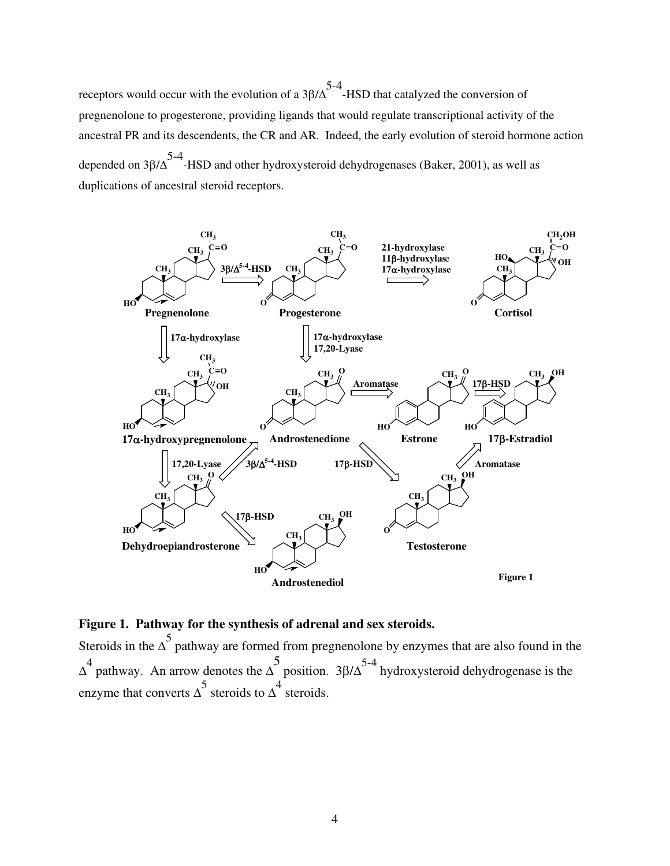receptors would occur with the evolution of a  $3\beta/\Delta^{5-4}$ -HSD that catalyzed the conversion of pregnenolone to progesterone, providing ligands that would regulate transcriptional activity of the ancestral PR and its descendents, the CR and AR. Indeed, the early evolution of steroid hormone action depended on  $3\beta/\Delta^5$ -HSD and other hydroxysteroid dehydrogenases (Baker, 2001), as well as duplications of ancestral steroid receptors.



# **Figure 1. Pathway for the synthesis of adrenal and sex steroids.**

Steroids in the  $\Delta^5$  pathway are formed from pregnenolone by enzymes that are also found in the  $\Delta^4$  pathway. An arrow denotes the  $\Delta$ 5 position.  $3\beta/\Delta^{5-4}$  hydroxysteroid dehydrogenase is the enzyme that converts  $\Delta^5$  steroids to  $\Delta^4$  steroids.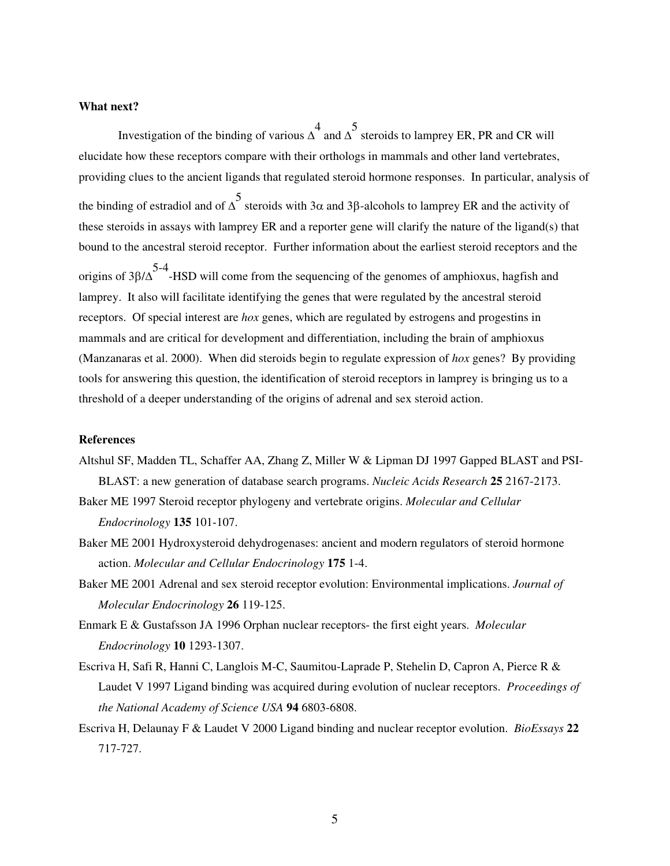### **What next?**

Investigation of the binding of various  $\Delta^4$  and  $\Delta^5$ steroids to lamprey ER, PR and CR will elucidate how these receptors compare with their orthologs in mammals and other land vertebrates, providing clues to the ancient ligands that regulated steroid hormone responses. In particular, analysis of the binding of estradiol and of  $\Delta^5$  steroids with 3 $\alpha$  and 3 $\beta$ -alcohols to lamprey ER and the activity of these steroids in assays with lamprey ER and a reporter gene will clarify the nature of the ligand(s) that bound to the ancestral steroid receptor. Further information about the earliest steroid receptors and the origins of  $3\beta/\Delta$  -HSD will come from the sequencing of the genomes of amphioxus, hagfish and lamprey. It also will facilitate identifying the genes that were regulated by the ancestral steroid receptors. Of special interest are *hox* genes, which are regulated by estrogens and progestins in mammals and are critical for development and differentiation, including the brain of amphioxus (Manzanaras et al. 2000). When did steroids begin to regulate expression of *hox* genes? By providing tools for answering this question, the identification of steroid receptors in lamprey is bringing us to a threshold of a deeper understanding of the origins of adrenal and sex steroid action.

### **References**

- Altshul SF, Madden TL, Schaffer AA, Zhang Z, Miller W & Lipman DJ 1997 Gapped BLAST and PSI-BLAST: a new generation of database search programs. *Nucleic Acids Research* **25** 2167-2173.
- Baker ME 1997 Steroid receptor phylogeny and vertebrate origins. *Molecular and Cellular Endocrinology* **135** 101-107.
- Baker ME 2001 Hydroxysteroid dehydrogenases: ancient and modern regulators of steroid hormone action. *Molecular and Cellular Endocrinology* **175** 1-4.
- Baker ME 2001 Adrenal and sex steroid receptor evolution: Environmental implications. *Journal of Molecular Endocrinology* **26** 119-125.
- Enmark E & Gustafsson JA 1996 Orphan nuclear receptors- the first eight years. *Molecular Endocrinology* **10** 1293-1307.
- Escriva H, Safi R, Hanni C, Langlois M-C, Saumitou-Laprade P, Stehelin D, Capron A, Pierce R & Laudet V 1997 Ligand binding was acquired during evolution of nuclear receptors. *Proceedings of the National Academy of Science USA* **94** 6803-6808.
- Escriva H, Delaunay F & Laudet V 2000 Ligand binding and nuclear receptor evolution. *BioEssays* **22** 717-727.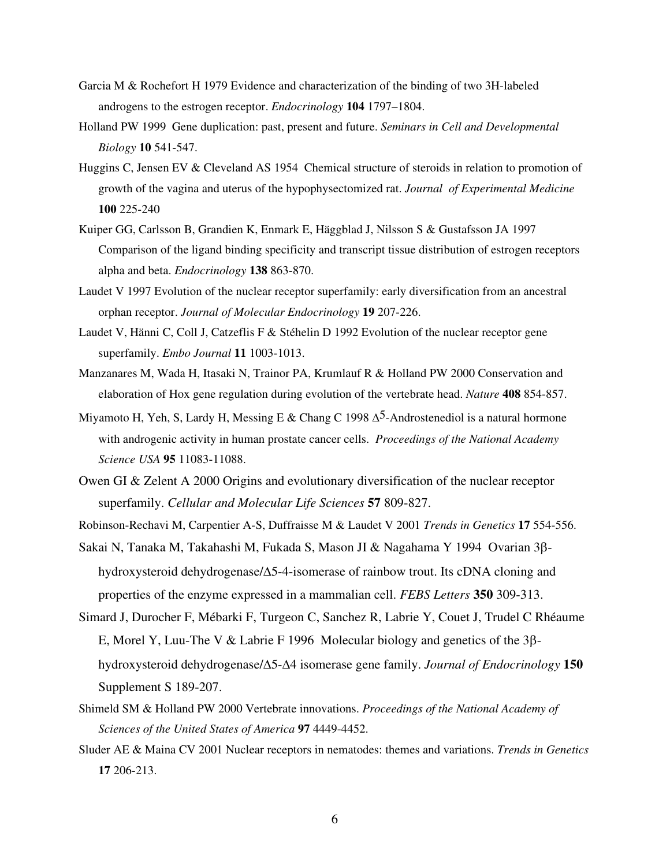- Garcia M & Rochefort H 1979 Evidence and characterization of the binding of two 3H-labeled androgens to the estrogen receptor. *Endocrinology* **104** 1797–1804.
- Holland PW 1999 Gene duplication: past, present and future. *Seminars in Cell and Developmental Biology* **10** 541-547.
- Huggins C, Jensen EV & Cleveland AS 1954 Chemical structure of steroids in relation to promotion of growth of the vagina and uterus of the hypophysectomized rat. *Journal of Experimental Medicine* **100** 225-240
- Kuiper GG, Carlsson B, Grandien K, Enmark E, Häggblad J, Nilsson S & Gustafsson JA 1997 Comparison of the ligand binding specificity and transcript tissue distribution of estrogen receptors alpha and beta. *Endocrinology* **138** 863-870.
- Laudet V 1997 Evolution of the nuclear receptor superfamily: early diversification from an ancestral orphan receptor. *Journal of Molecular Endocrinology* **19** 207-226.
- Laudet V, Hänni C, Coll J, Catzeflis F & Stéhelin D 1992 Evolution of the nuclear receptor gene superfamily. *Embo Journal* **11** 1003-1013.
- Manzanares M, Wada H, Itasaki N, Trainor PA, Krumlauf R & Holland PW 2000 Conservation and elaboration of Hox gene regulation during evolution of the vertebrate head. *Nature* **408** 854-857.
- Miyamoto H, Yeh, S, Lardy H, Messing E & Chang C 1998  $\Delta^5$ -Androstenediol is a natural hormone with androgenic activity in human prostate cancer cells. *Proceedings of the National Academy Science USA* **95** 11083-11088.
- Owen GI & Zelent A 2000 Origins and evolutionary diversification of the nuclear receptor superfamily. *Cellular and Molecular Life Sciences* **57** 809-827.
- Robinson-Rechavi M, Carpentier A-S, Duffraisse M & Laudet V 2001 *Trends in Genetics* **17** 554-556.
- Sakai N, Tanaka M, Takahashi M, Fukada S, Mason JI & Nagahama Y 1994 Ovarian 3ßhydroxysteroid dehydrogenase/ $\Delta$ 5-4-isomerase of rainbow trout. Its cDNA cloning and properties of the enzyme expressed in a mammalian cell. *FEBS Letters* **350** 309-313.
- Simard J, Durocher F, Mébarki F, Turgeon C, Sanchez R, Labrie Y, Couet J, Trudel C Rhéaume E, Morel Y, Luu-The V & Labrie F 1996 Molecular biology and genetics of the  $3\beta$ hydroxysteroid dehydrogenase/5-4 isomerase gene family. *Journal of Endocrinology* **150** Supplement S 189-207.
- Shimeld SM & Holland PW 2000 Vertebrate innovations. *Proceedings of the National Academy of Sciences of the United States of America* **97** 4449-4452.
- Sluder AE & Maina CV 2001 Nuclear receptors in nematodes: themes and variations. *Trends in Genetics* **17** 206-213.